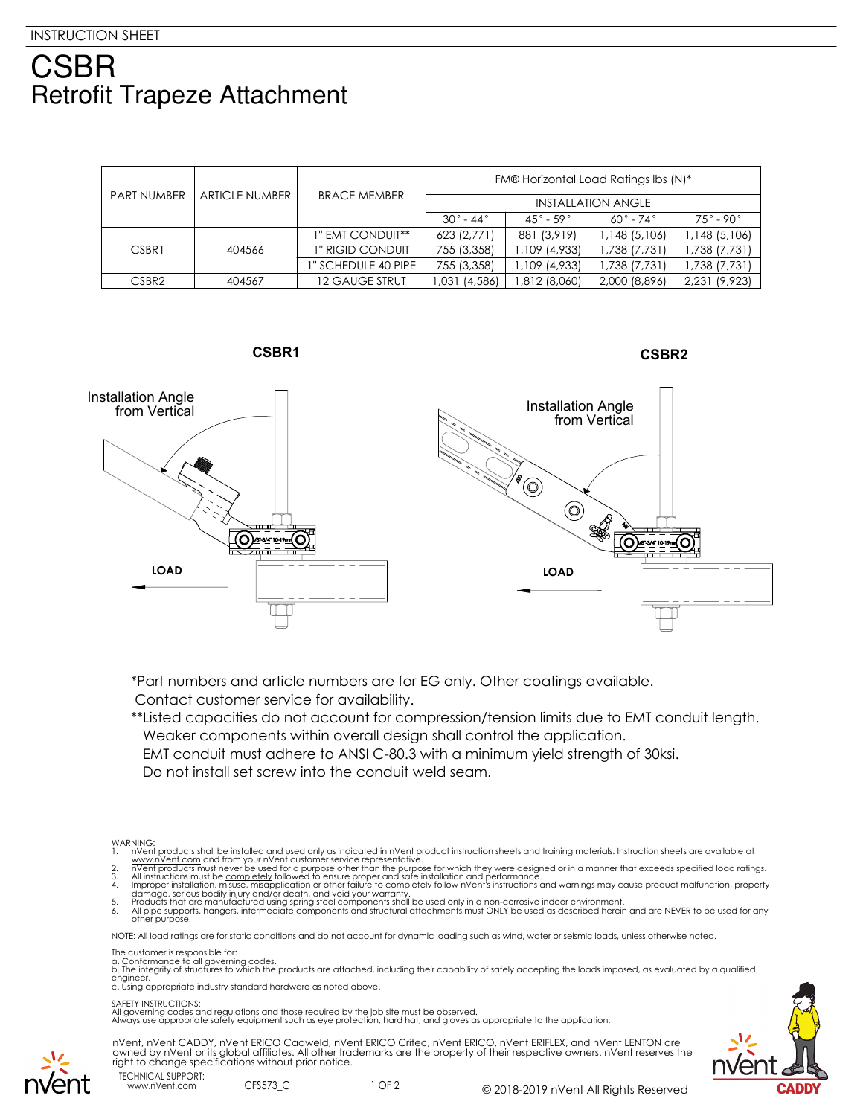## CSBR **Retrofit Trapeze Attachment**

| <b>PART NUMBER</b> | <b>ARTICLE NUMBER</b> | <b>BRACE MEMBER</b>   | FM® Horizontal Load Ratings Ibs (N)* |                              |                          |                          |
|--------------------|-----------------------|-----------------------|--------------------------------------|------------------------------|--------------------------|--------------------------|
|                    |                       |                       | <b>INSTALLATION ANGLE</b>            |                              |                          |                          |
|                    |                       |                       | $30^\circ$ - 44 $^\circ$             | $45^{\circ}$ - 59 $^{\circ}$ | $60^\circ$ - 74 $^\circ$ | $75^\circ$ - 90 $^\circ$ |
| CSBR1              | 404566                | 1" EMT CONDUIT**      | 623 (2,771)                          | 881 (3,919)                  | 1,148 (5,106)            | 1,148 (5,106)            |
|                    |                       | 1" RIGID CONDUIT      | 755 (3,358)                          | 1,109 (4,933)                | 1,738 (7,731)            | 1,738 (7,731)            |
|                    |                       | 1" SCHEDULE 40 PIPE   | 755 (3,358)                          | 1,109 (4,933)                | 1,738 (7,731)            | 1,738 (7,731)            |
| CSBR <sub>2</sub>  | 404567                | <b>12 GAUGE STRUT</b> | ,031 (4,586)                         | 1,812 (8,060)                | 2,000 (8,896)            | 2,231 (9,923)            |





\*Part numbers and article numbers are for EG only. Other coatings available. Contact customer service for availability.

\*\*Listed capacities do not account for compression/tension limits due to EMT conduit length. Weaker components within overall design shall control the application.

EMT conduit must adhere to ANSI C-80.3 with a minimum yield strength of 30ksi.

Do not install set screw into the conduit weld seam.

- 
- 
- 1. In Went products shall be installed and used only as indicated in n'vent product instruction sheets and training materials. Instruction sheets are available at www.n'vent.com and from your n'vent customer service repres

NOTE: All load ratings are for static conditions and do not account for dynamic loading such as wind, water or seismic loads, unless otherwise noted.

The customer is responsible for:

a. Conformance to all governing codes.<br>b. The integrity of structures to which the products are attached, including their capability of safely accepting the loads imposed, as evaluated by a qualified engineer. c. Using appropriate industry standard hardware as noted above.

SAFETY INSTRUCTIONS:

All governing codes and regulations and those required by the job site must be observed. Always use appropriate safety equipment such as eye protection, hard hat, and gloves as appropriate to the application.







www.nVent.com CFS573\_C

**CSBR2**

WARNING: